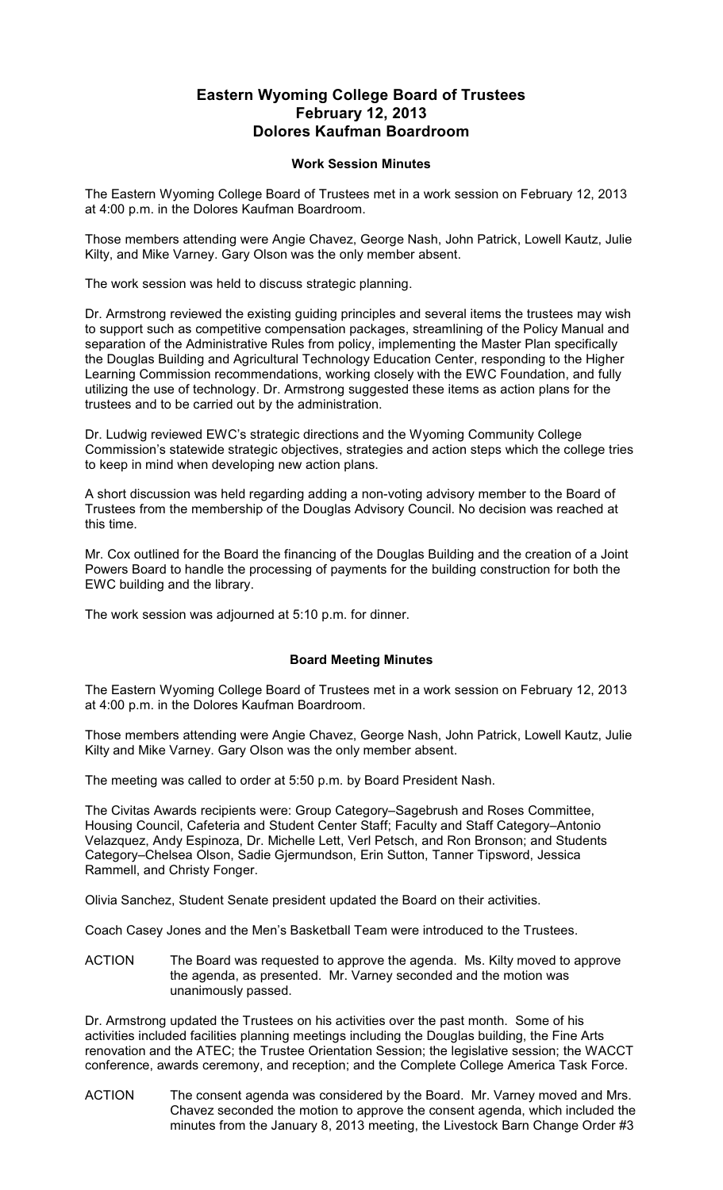## **Eastern Wyoming College Board of Trustees February 12, 2013 Dolores Kaufman Boardroom**

## **Work Session Minutes**

The Eastern Wyoming College Board of Trustees met in a work session on February 12, 2013 at 4:00 p.m. in the Dolores Kaufman Boardroom.

Those members attending were Angie Chavez, George Nash, John Patrick, Lowell Kautz, Julie Kilty, and Mike Varney. Gary Olson was the only member absent.

The work session was held to discuss strategic planning.

Dr. Armstrong reviewed the existing guiding principles and several items the trustees may wish to support such as competitive compensation packages, streamlining of the Policy Manual and separation of the Administrative Rules from policy, implementing the Master Plan specifically the Douglas Building and Agricultural Technology Education Center, responding to the Higher Learning Commission recommendations, working closely with the EWC Foundation, and fully utilizing the use of technology. Dr. Armstrong suggested these items as action plans for the trustees and to be carried out by the administration.

Dr. Ludwig reviewed EWC's strategic directions and the Wyoming Community College Commission's statewide strategic objectives, strategies and action steps which the college tries to keep in mind when developing new action plans.

A short discussion was held regarding adding a non-voting advisory member to the Board of Trustees from the membership of the Douglas Advisory Council. No decision was reached at this time.

Mr. Cox outlined for the Board the financing of the Douglas Building and the creation of a Joint Powers Board to handle the processing of payments for the building construction for both the EWC building and the library.

The work session was adjourned at 5:10 p.m. for dinner.

## **Board Meeting Minutes**

The Eastern Wyoming College Board of Trustees met in a work session on February 12, 2013 at 4:00 p.m. in the Dolores Kaufman Boardroom.

Those members attending were Angie Chavez, George Nash, John Patrick, Lowell Kautz, Julie Kilty and Mike Varney. Gary Olson was the only member absent.

The meeting was called to order at 5:50 p.m. by Board President Nash.

The Civitas Awards recipients were: Group Category–Sagebrush and Roses Committee, Housing Council, Cafeteria and Student Center Staff; Faculty and Staff Category–Antonio Velazquez, Andy Espinoza, Dr. Michelle Lett, Verl Petsch, and Ron Bronson; and Students Category–Chelsea Olson, Sadie Gjermundson, Erin Sutton, Tanner Tipsword, Jessica Rammell, and Christy Fonger.

Olivia Sanchez, Student Senate president updated the Board on their activities.

Coach Casey Jones and the Men's Basketball Team were introduced to the Trustees.

ACTION The Board was requested to approve the agenda. Ms. Kilty moved to approve the agenda, as presented. Mr. Varney seconded and the motion was unanimously passed.

Dr. Armstrong updated the Trustees on his activities over the past month. Some of his activities included facilities planning meetings including the Douglas building, the Fine Arts renovation and the ATEC; the Trustee Orientation Session; the legislative session; the WACCT conference, awards ceremony, and reception; and the Complete College America Task Force.

ACTION The consent agenda was considered by the Board. Mr. Varney moved and Mrs. Chavez seconded the motion to approve the consent agenda, which included the minutes from the January 8, 2013 meeting, the Livestock Barn Change Order #3